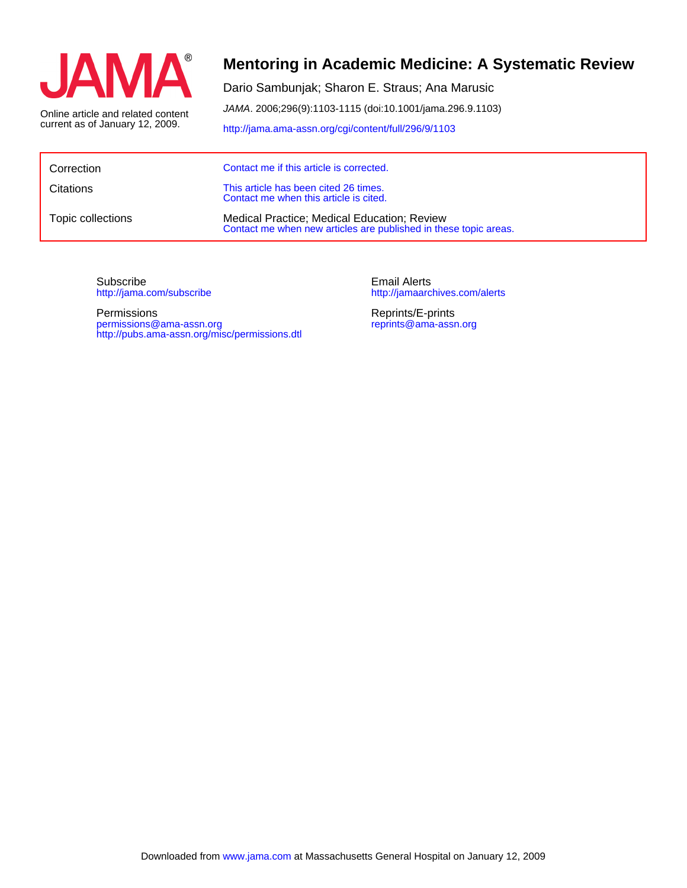

current as of January 12, 2009. Online article and related content

# **Mentoring in Academic Medicine: A Systematic Review**

Dario Sambunjak; Sharon E. Straus; Ana Marusic

JAMA. 2006;296(9):1103-1115 (doi:10.1001/jama.296.9.1103)

<http://jama.ama-assn.org/cgi/content/full/296/9/1103>

| Correction        | Contact me if this article is corrected.                                                                        |  |
|-------------------|-----------------------------------------------------------------------------------------------------------------|--|
| Citations         | This article has been cited 26 times.<br>Contact me when this article is cited.                                 |  |
| Topic collections | Medical Practice; Medical Education; Review<br>Contact me when new articles are published in these topic areas. |  |

<http://jama.com/subscribe> Subscribe

<http://jamaarchives.com/alerts> Email Alerts

[reprints@ama-assn.org](mailto:reprints@ama-assn.org) Reprints/E-prints

<http://pubs.ama-assn.org/misc/permissions.dtl> permissions@ama-assn.org Permissions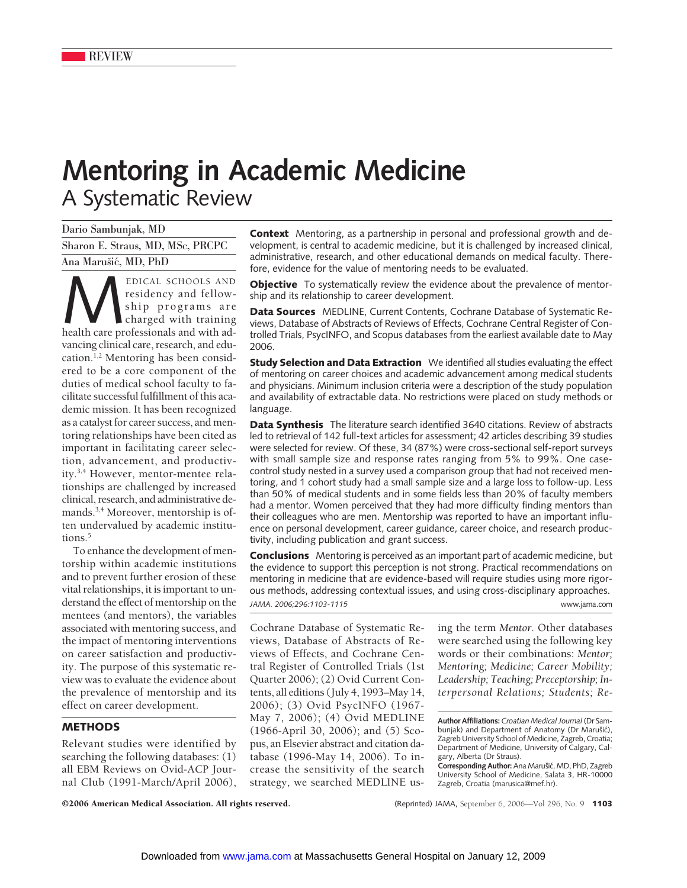# **Mentoring in Academic Medicine** A Systematic Review

Dario Sambunjak, MD

Sharon E. Straus, MD, MSc, PRCPC Ana Marušic´, MD, PhD

**MEDICAL SCHOOLS AND**<br>residency and fellow-<br>ship programs are<br>charged with training<br>health care professionals and with adresidency and fellowship programs are charged with training vancing clinical care, research, and education.1,2 Mentoring has been considered to be a core component of the duties of medical school faculty to facilitate successful fulfillment of this academic mission. It has been recognized as a catalyst for career success, and mentoring relationships have been cited as important in facilitating career selection, advancement, and productivity.<sup>3,4</sup> However, mentor-mentee relationships are challenged by increased clinical, research, and administrative demands.<sup>3,4</sup> Moreover, mentorship is often undervalued by academic institutions.<sup>5</sup>

To enhance the development of mentorship within academic institutions and to prevent further erosion of these vital relationships, it is important to understand the effect of mentorship on the mentees (and mentors), the variables associated with mentoring success, and the impact of mentoring interventions on career satisfaction and productivity. The purpose of this systematic review was to evaluate the evidence about the prevalence of mentorship and its effect on career development.

# **METHODS**

Relevant studies were identified by searching the following databases: (1) all EBM Reviews on Ovid-ACP Journal Club (1991-March/April 2006), **Context** Mentoring, as a partnership in personal and professional growth and development, is central to academic medicine, but it is challenged by increased clinical, administrative, research, and other educational demands on medical faculty. Therefore, evidence for the value of mentoring needs to be evaluated.

**Objective** To systematically review the evidence about the prevalence of mentorship and its relationship to career development.

**Data Sources** MEDLINE, Current Contents, Cochrane Database of Systematic Reviews, Database of Abstracts of Reviews of Effects, Cochrane Central Register of Controlled Trials, PsycINFO, and Scopus databases from the earliest available date to May 2006.

**Study Selection and Data Extraction** We identified all studies evaluating the effect of mentoring on career choices and academic advancement among medical students and physicians. Minimum inclusion criteria were a description of the study population and availability of extractable data. No restrictions were placed on study methods or language.

**Data Synthesis** The literature search identified 3640 citations. Review of abstracts led to retrieval of 142 full-text articles for assessment; 42 articles describing 39 studies were selected for review. Of these, 34 (87%) were cross-sectional self-report surveys with small sample size and response rates ranging from 5% to 99%. One casecontrol study nested in a survey used a comparison group that had not received mentoring, and 1 cohort study had a small sample size and a large loss to follow-up. Less than 50% of medical students and in some fields less than 20% of faculty members had a mentor. Women perceived that they had more difficulty finding mentors than their colleagues who are men. Mentorship was reported to have an important influence on personal development, career guidance, career choice, and research productivity, including publication and grant success.

**Conclusions** Mentoring is perceived as an important part of academic medicine, but the evidence to support this perception is not strong. Practical recommendations on mentoring in medicine that are evidence-based will require studies using more rigorous methods, addressing contextual issues, and using cross-disciplinary approaches. *JAMA. 2006;296:1103-1115* www.jama.com

Cochrane Database of Systematic Reviews, Database of Abstracts of Reviews of Effects, and Cochrane Central Register of Controlled Trials (1st Quarter 2006); (2) Ovid Current Contents, all editions (July 4, 1993–May 14, 2006); (3) Ovid PsycINFO (1967- May 7, 2006); (4) Ovid MEDLINE (1966-April 30, 2006); and (5) Scopus, an Elsevier abstract and citation database (1996-May 14, 2006). To increase the sensitivity of the search strategy, we searched MEDLINE using the term *Mentor.* Other databases were searched using the following key words or their combinations: *Mentor; Mentoring; Medicine; Career Mobility; Leadership; Teaching; Preceptorship; Interpersonal Relations; Students; Re-*

**Author Affiliations:** *Croatian Medical Journal* (Dr Sambunjak) and Department of Anatomy (Dr Marušić), Zagreb University School of Medicine, Zagreb, Croatia; Department of Medicine, University of Calgary, Calgary, Alberta (Dr Straus).

**Corresponding Author:**Ana Marušic´, MD, PhD, Zagreb University School of Medicine, Salata 3, HR-10000 Zagreb, Croatia (marusica@mef.hr).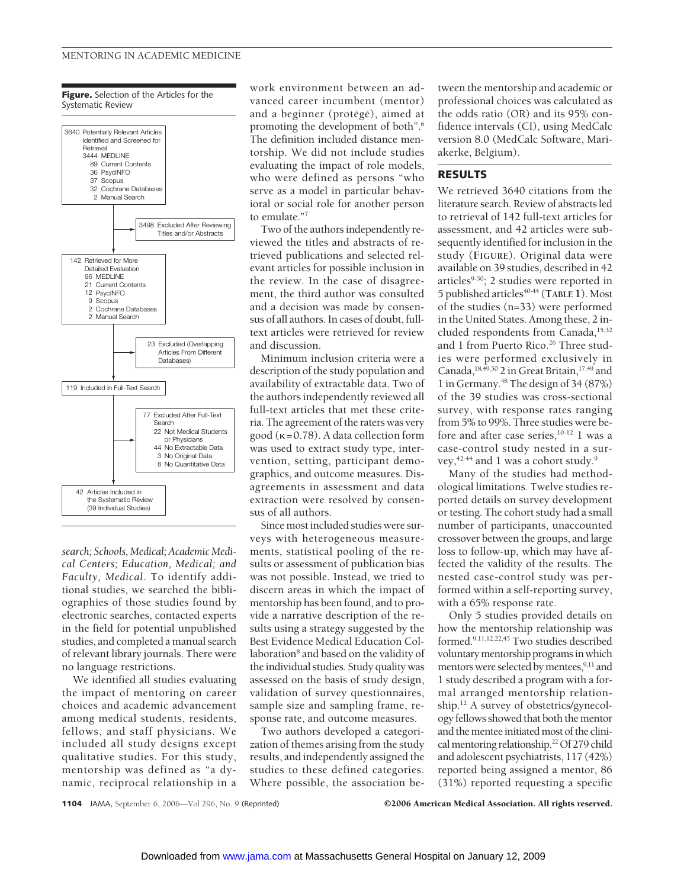**Figure.** Selection of the Articles for the Systematic Review



*search; Schools, Medical; Academic Medical Centers; Education, Medical; and Faculty, Medical*. To identify additional studies, we searched the bibliographies of those studies found by electronic searches, contacted experts in the field for potential unpublished studies, and completed a manual search of relevant library journals. There were no language restrictions.

We identified all studies evaluating the impact of mentoring on career choices and academic advancement among medical students, residents, fellows, and staff physicians. We included all study designs except qualitative studies. For this study, mentorship was defined as "a dynamic, reciprocal relationship in a

work environment between an advanced career incumbent (mentor) and a beginner (protégé), aimed at promoting the development of both".6 The definition included distance mentorship. We did not include studies evaluating the impact of role models, who were defined as persons "who serve as a model in particular behavioral or social role for another person to emulate."7

Two of the authors independently reviewed the titles and abstracts of retrieved publications and selected relevant articles for possible inclusion in the review. In the case of disagreement, the third author was consulted and a decision was made by consensus of all authors. In cases of doubt, fulltext articles were retrieved for review and discussion.

Minimum inclusion criteria were a description of the study population and availability of extractable data. Two of the authors independently reviewed all full-text articles that met these criteria. The agreement of the raters was very good ( $\kappa$  = 0.78). A data collection form was used to extract study type, intervention, setting, participant demographics, and outcome measures. Disagreements in assessment and data extraction were resolved by consensus of all authors.

Since most included studies were surveys with heterogeneous measurements, statistical pooling of the results or assessment of publication bias was not possible. Instead, we tried to discern areas in which the impact of mentorship has been found, and to provide a narrative description of the results using a strategy suggested by the Best Evidence Medical Education Collaboration<sup>8</sup> and based on the validity of the individual studies. Study quality was assessed on the basis of study design, validation of survey questionnaires, sample size and sampling frame, response rate, and outcome measures.

Two authors developed a categorization of themes arising from the study results, and independently assigned the studies to these defined categories. Where possible, the association be-

tween the mentorship and academic or professional choices was calculated as the odds ratio (OR) and its 95% confidence intervals (CI), using MedCalc version 8.0 (MedCalc Software, Mariakerke, Belgium).

# **RESULTS**

We retrieved 3640 citations from the literature search. Review of abstracts led to retrieval of 142 full-text articles for assessment, and 42 articles were subsequently identified for inclusion in the study (**FIGURE**). Original data were available on 39 studies, described in 42 articles $9-50$ ; 2 studies were reported in 5 published articles40-44 (**TABLE 1**). Most of the studies (n=33) were performed in the United States. Among these, 2 included respondents from Canada,<sup>15,32</sup> and 1 from Puerto Rico.<sup>26</sup> Three studies were performed exclusively in Canada,<sup>18,49,50</sup> 2 in Great Britain,<sup>17,49</sup> and 1 in Germany.48 The design of 34 (87%) of the 39 studies was cross-sectional survey, with response rates ranging from 5% to 99%. Three studies were before and after case series,  $10-12$  1 was a case-control study nested in a survey,  $42-44$  and 1 was a cohort study.<sup>9</sup>

Many of the studies had methodological limitations. Twelve studies reported details on survey development or testing. The cohort study had a small number of participants, unaccounted crossover between the groups, and large loss to follow-up, which may have affected the validity of the results. The nested case-control study was performed within a self-reporting survey, with a 65% response rate.

Only 5 studies provided details on how the mentorship relationship was formed.9,11,12,22,45 Two studies described voluntary mentorship programs in which mentors were selected by mentees, <sup>9,11</sup> and 1 study described a program with a formal arranged mentorship relationship.12 A survey of obstetrics/gynecologyfellows showed that both the mentor and the mentee initiated most of the clinical mentoring relationship.<sup>22</sup> Of 279 child and adolescent psychiatrists, 117 (42%) reported being assigned a mentor, 86 (31%) reported requesting a specific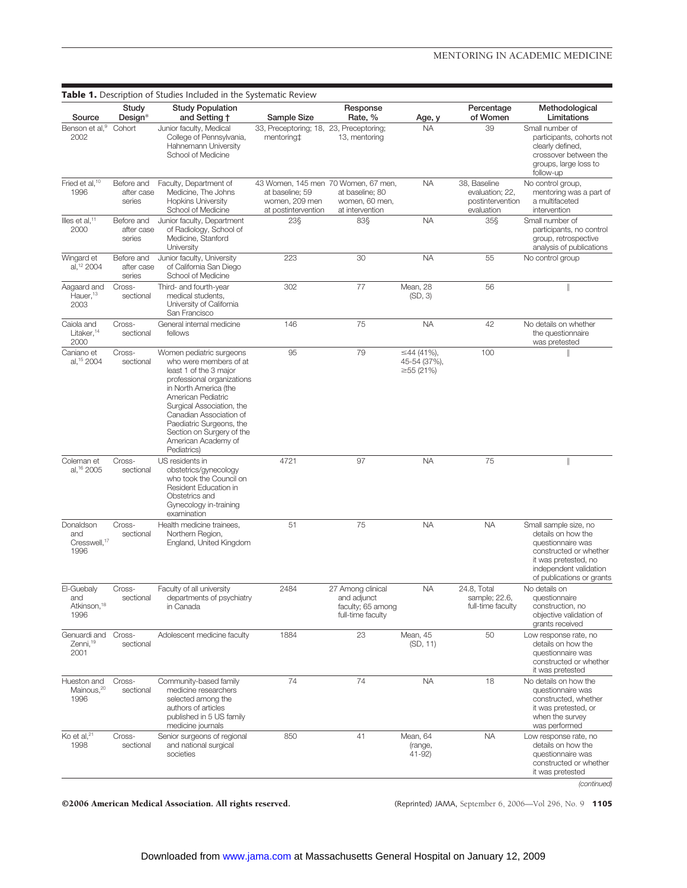|                                                      | Table 1. Description of Studies Included in the Systematic Review |                                                                                                                                                                                                                                                                                                                  |                                                          |                                                                                             |                                              |                                                                   |                                                                                                                                                                           |
|------------------------------------------------------|-------------------------------------------------------------------|------------------------------------------------------------------------------------------------------------------------------------------------------------------------------------------------------------------------------------------------------------------------------------------------------------------|----------------------------------------------------------|---------------------------------------------------------------------------------------------|----------------------------------------------|-------------------------------------------------------------------|---------------------------------------------------------------------------------------------------------------------------------------------------------------------------|
| Source                                               | Study<br>Design*                                                  | <b>Study Population</b><br>and Setting †                                                                                                                                                                                                                                                                         | Sample Size                                              | Response<br>Rate, %                                                                         | Age, y                                       | Percentage<br>of Women                                            | Methodological<br>Limitations                                                                                                                                             |
| Benson et al,9<br>2002                               | Cohort                                                            | Junior faculty, Medical<br>College of Pennsylvania,<br>Hahnemann University<br>School of Medicine                                                                                                                                                                                                                | 33, Preceptoring; 18, 23, Preceptoring;<br>mentoring‡    | 13, mentoring                                                                               | <b>NA</b>                                    | 39                                                                | Small number of<br>participants, cohorts not<br>clearly defined,<br>crossover between the<br>groups, large loss to<br>follow-up                                           |
| Fried et al, <sup>10</sup><br>1996                   | Before and<br>after case<br>series                                | Faculty, Department of<br>Medicine, The Johns<br><b>Hopkins University</b><br>School of Medicine                                                                                                                                                                                                                 | at baseline; 59<br>women, 209 men<br>at postintervention | 43 Women, 145 men 70 Women, 67 men,<br>at baseline; 80<br>women, 60 men,<br>at intervention | <b>NA</b>                                    | 38, Baseline<br>evaluation; 22,<br>postintervention<br>evaluation | No control group,<br>mentoring was a part of<br>a multifaceted<br>intervention                                                                                            |
| Illes et al, <sup>11</sup><br>2000                   | Before and<br>after case<br>series                                | Junior faculty, Department<br>of Radiology, School of<br>Medicine. Stanford<br>University                                                                                                                                                                                                                        | 23§                                                      | 83§                                                                                         | <b>NA</b>                                    | 35§                                                               | Small number of<br>participants, no control<br>group, retrospective<br>analysis of publications                                                                           |
| Wingard et<br>al, 12 2004                            | Before and<br>after case<br>series                                | Junior faculty, University<br>of California San Diego<br>School of Medicine                                                                                                                                                                                                                                      | 223                                                      | 30                                                                                          | <b>NA</b>                                    | 55                                                                | No control group                                                                                                                                                          |
| Aagaard and<br>Hauer, <sup>13</sup><br>2003          | Cross-<br>sectional                                               | Third- and fourth-year<br>medical students,<br>University of California<br>San Francisco                                                                                                                                                                                                                         | 302                                                      | 77                                                                                          | Mean, 28<br>(SD, 3)                          | 56                                                                | I                                                                                                                                                                         |
| Caiola and<br>Litaker, <sup>14</sup><br>2000         | Cross-<br>sectional                                               | General internal medicine<br>fellows                                                                                                                                                                                                                                                                             | 146                                                      | 75                                                                                          | <b>NA</b>                                    | 42                                                                | No details on whether<br>the questionnaire<br>was pretested                                                                                                               |
| Caniano et<br>al, 15 2004                            | Cross-<br>sectional                                               | Women pediatric surgeons<br>who were members of at<br>least 1 of the 3 major<br>professional organizations<br>in North America (the<br>American Pediatric<br>Surgical Association, the<br>Canadian Association of<br>Paediatric Surgeons, the<br>Section on Surgery of the<br>American Academy of<br>Pediatrics) | 95                                                       | 79                                                                                          | ≤44(41%),<br>45-54 (37%),<br>$\geq$ 55 (21%) | 100                                                               |                                                                                                                                                                           |
| Coleman et<br>al, 16 2005                            | Cross-<br>sectional                                               | US residents in<br>obstetrics/gynecology<br>who took the Council on<br>Resident Education in<br>Obstetrics and<br>Gynecology in-training<br>examination                                                                                                                                                          | 4721                                                     | 97                                                                                          | <b>NA</b>                                    | 75                                                                | $\label{eq:1} \ $                                                                                                                                                         |
| Donaldson<br>and<br>Cresswell, <sup>17</sup><br>1996 | Cross-<br>sectional                                               | Health medicine trainees,<br>Northern Region,<br>England, United Kingdom                                                                                                                                                                                                                                         | 51                                                       | 75                                                                                          | <b>NA</b>                                    | <b>NA</b>                                                         | Small sample size, no<br>details on how the<br>questionnaire was<br>constructed or whether<br>it was pretested, no<br>independent validation<br>of publications or grants |
| El-Guebaly<br>and<br>Atkinson. <sup>18</sup><br>1996 | Cross-<br>sectional                                               | Faculty of all university<br>departments of psychiatry<br>in Canada                                                                                                                                                                                                                                              | 2484                                                     | 27 Among clinical<br>and adjunct<br>faculty; 65 among<br>full-time faculty                  | <b>NA</b>                                    | 24.8, Total<br>sample; 22.6,<br>full-time faculty                 | No details on<br>questionnaire<br>construction, no<br>objective validation of<br>grants received                                                                          |
| Genuardi and<br>Zenni, <sup>19</sup><br>2001         | Cross-<br>sectional                                               | Adolescent medicine faculty                                                                                                                                                                                                                                                                                      | 1884                                                     | 23                                                                                          | Mean, 45<br>(SD, 11)                         | 50                                                                | Low response rate, no<br>details on how the<br>questionnaire was<br>constructed or whether<br>it was pretested                                                            |
| Hueston and<br>Mainous. <sup>20</sup><br>1996        | Cross-<br>sectional                                               | Community-based family<br>medicine researchers<br>selected among the<br>authors of articles<br>published in 5 US family<br>medicine journals                                                                                                                                                                     | 74                                                       | 74                                                                                          | <b>NA</b>                                    | 18                                                                | No details on how the<br>questionnaire was<br>constructed, whether<br>it was pretested, or<br>when the survey<br>was performed                                            |
| Ko et al, <sup>21</sup><br>1998                      | Cross-<br>sectional                                               | Senior surgeons of regional<br>and national surgical<br>societies                                                                                                                                                                                                                                                | 850                                                      | 41                                                                                          | Mean, 64<br>(range,<br>$41 - 92$             | <b>NA</b>                                                         | Low response rate, no<br>details on how the<br>questionnaire was<br>constructed or whether<br>it was pretested<br>(continued)                                             |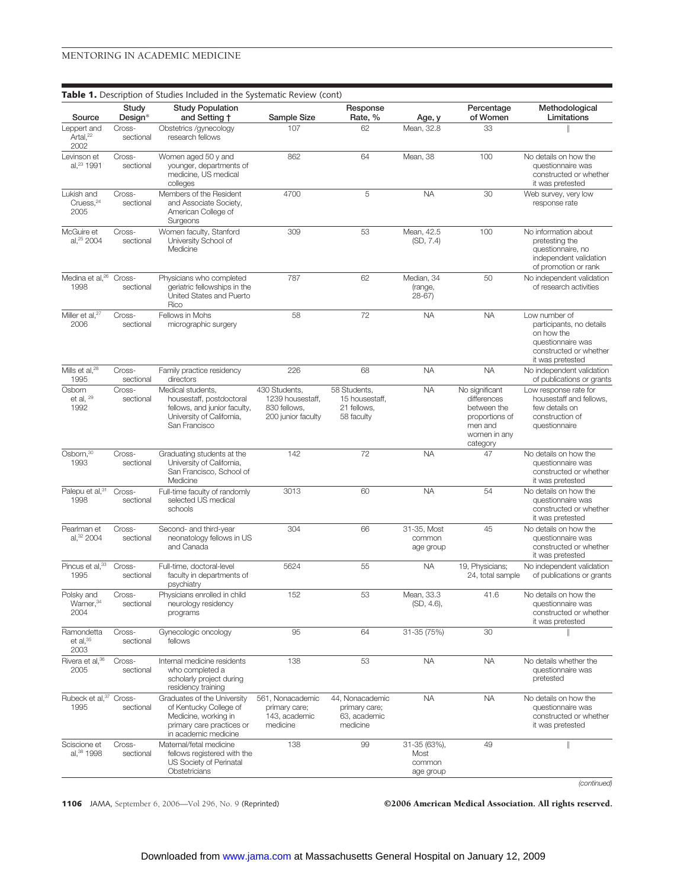|                                             | Table 1. Description of Studies Included in the Systematic Review (cont) |                                                                                                                                    |                                                                         |                                                              |                                             |                                                                                                       |                                                                                                                            |
|---------------------------------------------|--------------------------------------------------------------------------|------------------------------------------------------------------------------------------------------------------------------------|-------------------------------------------------------------------------|--------------------------------------------------------------|---------------------------------------------|-------------------------------------------------------------------------------------------------------|----------------------------------------------------------------------------------------------------------------------------|
| Source                                      | Study<br>Design*                                                         | <b>Study Population</b><br>and Setting †                                                                                           | Sample Size                                                             | Response<br>Rate, %                                          | Age, y                                      | Percentage<br>of Women                                                                                | Methodological<br>Limitations                                                                                              |
| Leppert and<br>Artal, <sup>22</sup><br>2002 | Cross-<br>sectional                                                      | Obstetrics /gynecology<br>research fellows                                                                                         | 107                                                                     | 62                                                           | Mean, 32.8                                  | 33                                                                                                    |                                                                                                                            |
| Levinson et<br>al, <sup>23</sup> 1991       | Cross-<br>sectional                                                      | Women aged 50 y and<br>vounger, departments of<br>medicine, US medical<br>colleges                                                 | 862                                                                     | 64                                                           | Mean, 38                                    | 100                                                                                                   | No details on how the<br>questionnaire was<br>constructed or whether<br>it was pretested                                   |
| Lukish and<br>Cruess, <sup>24</sup><br>2005 | Cross-<br>sectional                                                      | Members of the Resident<br>and Associate Society,<br>American College of<br>Surgeons                                               | 4700                                                                    | 5                                                            | <b>NA</b>                                   | 30                                                                                                    | Web survey, very low<br>response rate                                                                                      |
| McGuire et<br>al, <sup>25</sup> 2004        | Cross-<br>sectional                                                      | Women faculty, Stanford<br>University School of<br>Medicine                                                                        | 309                                                                     | 53                                                           | Mean, 42.5<br>(SD, 7.4)                     | 100                                                                                                   | No information about<br>pretesting the<br>questionnaire, no<br>independent validation<br>of promotion or rank              |
| Medina et al, <sup>26</sup><br>1998         | Cross-<br>sectional                                                      | Physicians who completed<br>geriatric fellowships in the<br>United States and Puerto<br>Rico                                       | 787                                                                     | 62                                                           | Median, 34<br>(range,<br>$28 - 67$          | 50                                                                                                    | No independent validation<br>of research activities                                                                        |
| Miller et al, <sup>27</sup><br>2006         | Cross-<br>sectional                                                      | Fellows in Mohs<br>micrographic surgery                                                                                            | 58                                                                      | 72                                                           | <b>NA</b>                                   | <b>NA</b>                                                                                             | Low number of<br>participants, no details<br>on how the<br>questionnaire was<br>constructed or whether<br>it was pretested |
| Mills et al, $^{28}$<br>1995                | Cross-<br>sectional                                                      | Family practice residency<br>directors                                                                                             | 226                                                                     | 68                                                           | <b>NA</b>                                   | <b>NA</b>                                                                                             | No independent validation<br>of publications or grants                                                                     |
| Osborn<br>et al, <sup>29</sup><br>1992      | Cross-<br>sectional                                                      | Medical students,<br>housestaff, postdoctoral<br>fellows, and junior faculty,<br>University of California,<br>San Francisco        | 430 Students,<br>1239 housestaff.<br>830 fellows,<br>200 junior faculty | 58 Students,<br>15 housestaff,<br>21 fellows,<br>58 faculty  | <b>NA</b>                                   | No significant<br>differences<br>between the<br>proportions of<br>men and<br>women in any<br>category | Low response rate for<br>housestaff and fellows,<br>few details on<br>construction of<br>questionnaire                     |
| Osborn, 30<br>1993                          | Cross-<br>sectional                                                      | Graduating students at the<br>University of California,<br>San Francisco, School of<br>Medicine                                    | 142                                                                     | 72                                                           | <b>NA</b>                                   | 47                                                                                                    | No details on how the<br>questionnaire was<br>constructed or whether<br>it was pretested                                   |
| Palepu et al, 31<br>1998                    | Cross-<br>sectional                                                      | Full-time faculty of randomly<br>selected US medical<br>schools                                                                    | 3013                                                                    | 60                                                           | <b>NA</b>                                   | 54                                                                                                    | No details on how the<br>questionnaire was<br>constructed or whether<br>it was pretested                                   |
| Pearlman et<br>al, 32 2004                  | Cross-<br>sectional                                                      | Second- and third-year<br>neonatology fellows in US<br>and Canada                                                                  | 304                                                                     | 66                                                           | 31-35, Most<br>common<br>age group          | 45                                                                                                    | No details on how the<br>questionnaire was<br>constructed or whether<br>it was pretested                                   |
| Pincus et al, 33<br>1995                    | Cross-<br>sectional                                                      | Full-time, doctoral-level<br>faculty in departments of<br>psychiatry                                                               | 5624                                                                    | 55                                                           | <b>NA</b>                                   | 19, Physicians;<br>24, total sample                                                                   | No independent validation<br>of publications or grants                                                                     |
| Polsky and<br>Warner, 34<br>2004            | Cross-<br>sectional                                                      | Physicians enrolled in child<br>neurology residency<br>programs                                                                    | 152                                                                     | 53                                                           | Mean, 33.3<br>$(SD, 4.6)$ ,                 | 41.6                                                                                                  | No details on how the<br>questionnaire was<br>constructed or whether<br>it was pretested                                   |
| Ramondetta<br>et al, $35$<br>2003           | Cross-<br>sectional                                                      | Gynecologic oncology<br>fellows                                                                                                    | 95                                                                      | 64                                                           | 31-35 (75%)                                 | 30                                                                                                    |                                                                                                                            |
| Rivera et al, 36<br>2005                    | Cross-<br>sectional                                                      | Internal medicine residents<br>who completed a<br>scholarly project during<br>residency training                                   | 138                                                                     | 53                                                           | <b>NA</b>                                   | <b>NA</b>                                                                                             | No details whether the<br>questionnaire was<br>pretested                                                                   |
| Rubeck et al, <sup>37</sup> Cross-<br>1995  | sectional                                                                | Graduates of the University<br>of Kentucky College of<br>Medicine, working in<br>primary care practices or<br>in academic medicine | 561, Nonacademic<br>primary care;<br>143, academic<br>medicine          | 44, Nonacademic<br>primary care;<br>63, academic<br>medicine | <b>NA</b>                                   | <b>NA</b>                                                                                             | No details on how the<br>questionnaire was<br>constructed or whether<br>it was pretested                                   |
| Sciscione et<br>al, 38 1998                 | Cross-<br>sectional                                                      | Maternal/fetal medicine<br>fellows registered with the<br>US Society of Perinatal<br>Obstetricians                                 | 138                                                                     | 99                                                           | 31-35 (63%),<br>Most<br>common<br>age group | 49                                                                                                    | $\parallel$<br>(continued)                                                                                                 |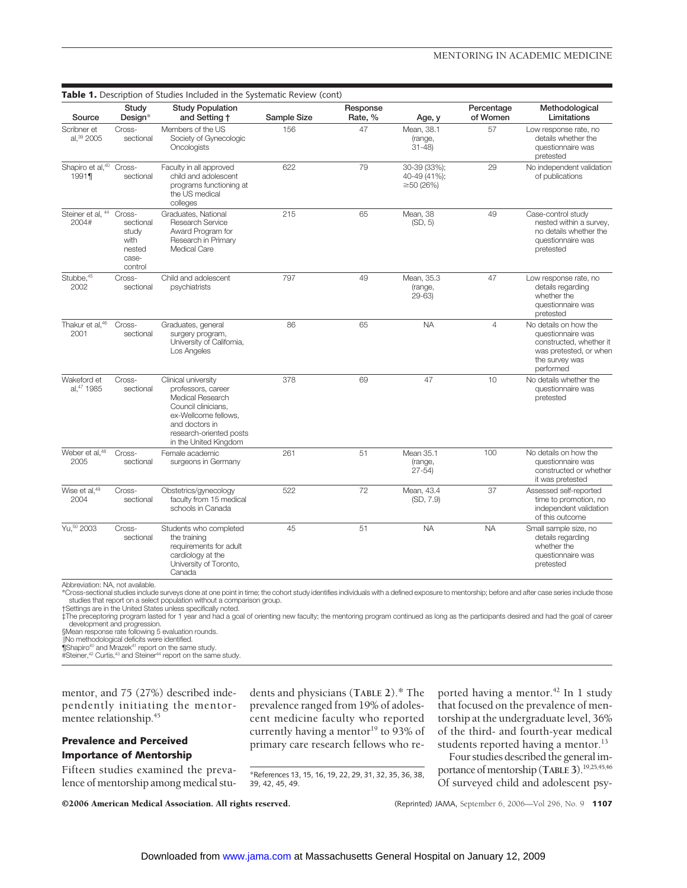|                                       | Table 1. Description of Studies Included in the Systematic Review (cont) |                                                                                                                                                                                    |             |                     |                                                 |                        |                                                                                                                                |
|---------------------------------------|--------------------------------------------------------------------------|------------------------------------------------------------------------------------------------------------------------------------------------------------------------------------|-------------|---------------------|-------------------------------------------------|------------------------|--------------------------------------------------------------------------------------------------------------------------------|
| Source                                | Study<br>Design*                                                         | <b>Study Population</b><br>and Setting +                                                                                                                                           | Sample Size | Response<br>Rate, % | Age, y                                          | Percentage<br>of Women | Methodological<br>Limitations                                                                                                  |
| Scribner et<br>al, 39 2005            | Cross-<br>sectional                                                      | Members of the US<br>Society of Gynecologic<br>Oncologists                                                                                                                         | 156         | 47                  | Mean, 38.1<br>(range,<br>$31 - 48$              | 57                     | Low response rate, no<br>details whether the<br>questionnaire was<br>pretested                                                 |
| Shapiro et al, <sup>40</sup><br>1991¶ | Cross-<br>sectional                                                      | Faculty in all approved<br>child and adolescent<br>programs functioning at<br>the US medical<br>colleges                                                                           | 622         | 79                  | 30-39 (33%);<br>40-49 (41%);<br>$\geq$ 50 (26%) | 29                     | No independent validation<br>of publications                                                                                   |
| Steiner et al, 44<br>2004#            | Cross-<br>sectional<br>study<br>with<br>nested<br>case-<br>control       | Graduates, National<br>Research Service<br>Award Program for<br>Research in Primary<br>Medical Care                                                                                | 215         | 65                  | Mean, 38<br>(SD, 5)                             | 49                     | Case-control study<br>nested within a survey,<br>no details whether the<br>questionnaire was<br>pretested                      |
| Stubbe, 45<br>2002                    | Cross-<br>sectional                                                      | Child and adolescent<br>psychiatrists                                                                                                                                              | 797         | 49                  | Mean, 35.3<br>(range,<br>$29 - 63$              | 47                     | Low response rate, no<br>details regarding<br>whether the<br>questionnaire was<br>pretested                                    |
| Thakur et al, <sup>46</sup><br>2001   | Cross-<br>sectional                                                      | Graduates, general<br>surgery program,<br>University of California,<br>Los Angeles                                                                                                 | 86          | 65                  | <b>NA</b>                                       | $\overline{4}$         | No details on how the<br>questionnaire was<br>constructed, whether it<br>was pretested, or when<br>the survey was<br>performed |
| Wakeford et<br>al, <sup>47</sup> 1985 | Cross-<br>sectional                                                      | Clinical university<br>professors, career<br>Medical Research<br>Council clinicians,<br>ex-Wellcome fellows,<br>and doctors in<br>research-oriented posts<br>in the United Kingdom | 378         | 69                  | 47                                              | 10                     | No details whether the<br>questionnaire was<br>pretested                                                                       |
| Weber et al, <sup>48</sup><br>2005    | Cross-<br>sectional                                                      | Female academic<br>surgeons in Germany                                                                                                                                             | 261         | 51                  | Mean 35.1<br>(range,<br>$27 - 54$               | 100                    | No details on how the<br>questionnaire was<br>constructed or whether<br>it was pretested                                       |
| Wise et al. <sup>49</sup><br>2004     | Cross-<br>sectional                                                      | Obstetrics/gynecology<br>faculty from 15 medical<br>schools in Canada                                                                                                              | 522         | 72                  | Mean, 43.4<br>(SD, 7.9)                         | 37                     | Assessed self-reported<br>time to promotion, no<br>independent validation<br>of this outcome                                   |
| Yu, 50 2003                           | Cross-<br>sectional                                                      | Students who completed<br>the training<br>requirements for adult<br>cardiology at the<br>University of Toronto,<br>Canada                                                          | 45          | 51                  | <b>NA</b>                                       | <b>NA</b>              | Small sample size, no<br>details regarding<br>whether the<br>questionnaire was<br>pretested                                    |

Abbreviation: NA, not available.<br>\*Cross-sectional studies include surveys done at one point in time; the cohort study identifies individuals with a defined exposure to mentorship; before and after case series include those studies that report on a select population without a comparison group.

†Settings are in the United States unless specifically noted.<br>‡The preceptoring program lasted for 1 year and had a goal of orienting new faculty; the mentoring program continued as long as the participants desired and had development and progression.

§Mean response rate following 5 evaluation rounds.<br>||No methodological deficits were identified.<br>¶Shapiro<sup>40</sup> and Mrazek<sup>41</sup> report on the same study.<br>#Steiner,<sup>42</sup> Curtis,<sup>43</sup> and Steiner<sup>44</sup> report on the same study.

mentor, and 75 (27%) described independently initiating the mentormentee relationship.45

# **Prevalence and Perceived Importance of Mentorship**

Fifteen studies examined the prevalence of mentorship among medical students and physicians (**TABLE 2**).\* The prevalence ranged from 19% of adolescent medicine faculty who reported currently having a mentor<sup>19</sup> to 93% of primary care research fellows who re-

ported having a mentor.<sup>42</sup> In 1 study that focused on the prevalence of mentorship at the undergraduate level, 36% of the third- and fourth-year medical students reported having a mentor.<sup>13</sup>

Four studies described the general importance of mentorship (TABLE 3).<sup>19,25,45,46</sup> \*References 13, 15, 16, 19, 22, 29, 31, 32, 35, 36, 38, portance of mentorship (TABLE 3).

39, 42, 45, 49.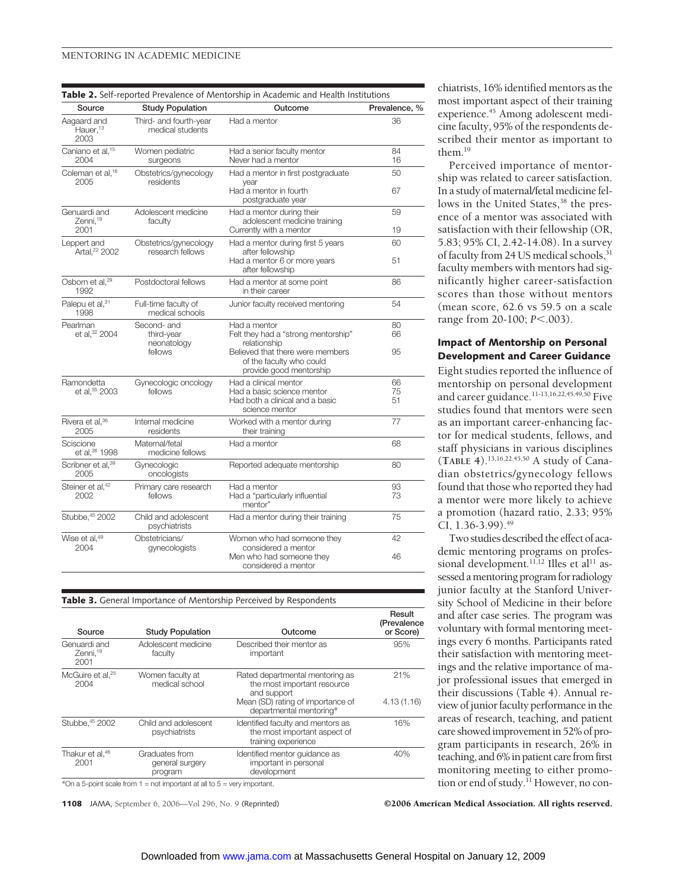| Source<br><b>Study Population</b><br>Outcome                                                                                                                                                                                                        | Prevalence, %  |
|-----------------------------------------------------------------------------------------------------------------------------------------------------------------------------------------------------------------------------------------------------|----------------|
| Had a mentor<br>Aaqaard and<br>Third- and fourth-year<br>Hauer, <sup>13</sup><br>medical students<br>2003                                                                                                                                           | 36             |
| Caniano et al, <sup>15</sup><br>Women pediatric<br>Had a senior faculty mentor<br>2004<br>Never had a mentor<br>surgeons                                                                                                                            | 84<br>16       |
| Coleman et al, <sup>16</sup><br>Obstetrics/gynecology<br>Had a mentor in first postgraduate<br>2005<br>residents<br>year<br>Had a mentor in fourth<br>postgraduate year                                                                             | 50<br>67       |
| Genuardi and<br>Adolescent medicine<br>Had a mentor during their<br>Zenni, <sup>19</sup><br>adolescent medicine training<br>faculty<br>2001<br>Currently with a mentor                                                                              | 59<br>19       |
| Leppert and<br>Obstetrics/gynecology<br>Had a mentor during first 5 years<br>Artal, <sup>22</sup> 2002<br>research fellows<br>after fellowship<br>Had a mentor 6 or more years<br>after fellowship                                                  | 60<br>51       |
| Osborn et al, <sup>29</sup><br>Postdoctoral fellows<br>Had a mentor at some point<br>1992<br>in their career                                                                                                                                        | 86             |
| Palepu et al, 31<br>Full-time faculty of<br>Junior faculty received mentoring<br>1998<br>medical schools                                                                                                                                            | 54             |
| Second- and<br>Pearlman<br>Had a mentor<br>et al, 32 2004<br>Felt they had a "strong mentorship"<br>third-year<br>neonatology<br>relationship<br>fellows<br>Believed that there were members<br>of the faculty who could<br>provide good mentorship | 80<br>66<br>95 |
| Gynecologic oncology<br>Had a clinical mentor<br>Ramondetta<br>et al. <sup>35</sup> 2003<br>fellows<br>Had a basic science mentor<br>Had both a clinical and a basic<br>science mentor                                                              | 66<br>75<br>51 |
| Rivera et al, 36<br>Internal medicine<br>Worked with a mentor during<br>2005<br>residents<br>their training                                                                                                                                         | 77             |
| Sciscione<br>Maternal/fetal<br>Had a mentor<br>et al, 38 1998<br>medicine fellows                                                                                                                                                                   | 68             |
| Scribner et al, 39<br>Gynecologic<br>Reported adequate mentorship<br>2005<br>oncologists                                                                                                                                                            | 80             |
| Steiner et al, <sup>42</sup><br>Had a mentor<br>Primary care research<br>Had a "particularly influential<br>2002<br>fellows<br>mentor"                                                                                                              | 93<br>73       |
| Stubbe, 45 2002<br>Child and adolescent<br>Had a mentor during their training<br>psychiatrists                                                                                                                                                      | 75             |
| Wise et al, <sup>49</sup><br>Obstetricians/<br>Women who had someone they<br>2004<br>gynecologists<br>considered a mentor<br>Men who had someone they<br>considered a mentor                                                                        | 42<br>46       |

| <b>Study Population</b>                      | Outcome                                                                                                                                       | nesuit<br>(Prevalence<br>or Score) |
|----------------------------------------------|-----------------------------------------------------------------------------------------------------------------------------------------------|------------------------------------|
| Adolescent medicine<br>faculty               | Described their mentor as<br>important                                                                                                        | 95%                                |
| Women faculty at<br>medical school           | Rated departmental mentoring as<br>the most important resource<br>and support<br>Mean (SD) rating of importance of<br>departmental mentoring* | 21%<br>4.13(1.16)                  |
| Child and adolescent<br>psychiatrists        | Identified faculty and mentors as<br>the most important aspect of<br>training experience                                                      | 16%                                |
| Graduates from<br>general surgery<br>program | Identified mentor quidance as<br>important in personal<br>development                                                                         | 40%                                |
|                                              |                                                                                                                                               |                                    |

\*On a 5-point scale from 1 = not important at all to 5 = very important.

**1108** JAMA, September 6, 2006—Vol 296, No. 9 (Reprinted) ©2006 American Medical Association. All rights reserved.

chiatrists, 16% identified mentors as the most important aspect of their training experience.<sup>45</sup> Among adolescent medicine faculty, 95% of the respondents described their mentor as important to them<sup>19</sup>

Perceived importance of mentorship was related to career satisfaction. In a study of maternal/fetal medicine fellows in the United States,<sup>38</sup> the presence of a mentor was associated with satisfaction with their fellowship (OR, 5.83; 95% CI, 2.42-14.08). In a survey of faculty from 24 US medical schools,<sup>31</sup> faculty members with mentors had significantly higher career-satisfaction scores than those without mentors (mean score, 62.6 vs 59.5 on a scale range from 20-100; *P*<.003).

# **Impact of Mentorship on Personal Development and Career Guidance**

Eight studies reported the influence of mentorship on personal development and career guidance.11-13,16,22,45,49,50 Five studies found that mentors were seen as an important career-enhancing factor for medical students, fellows, and staff physicians in various disciplines (**TABLE 4**).13,16,22,45,50 A study of Canadian obstetrics/gynecology fellows found that those who reported they had a mentor were more likely to achieve a promotion (hazard ratio, 2.33; 95%  $CI, 1.36-3.99$ .  $49$ 

Two studies described the effect of academic mentoring programs on professional development.<sup>11,12</sup> Illes et al<sup>11</sup> assessed a mentoring program for radiology junior faculty at the Stanford University School of Medicine in their before and after case series. The program was voluntary with formal mentoring meetings every 6 months. Participants rated their satisfaction with mentoring meetings and the relative importance of major professional issues that emerged in their discussions (Table 4). Annual review of junior faculty performance in the areas of research, teaching, and patient care showedimprovementin 52% of program participants in research, 26% in teaching, and 6% in patient care from first monitoring meeting to either promotion or end of study.<sup>11</sup> However, no con-

**Result**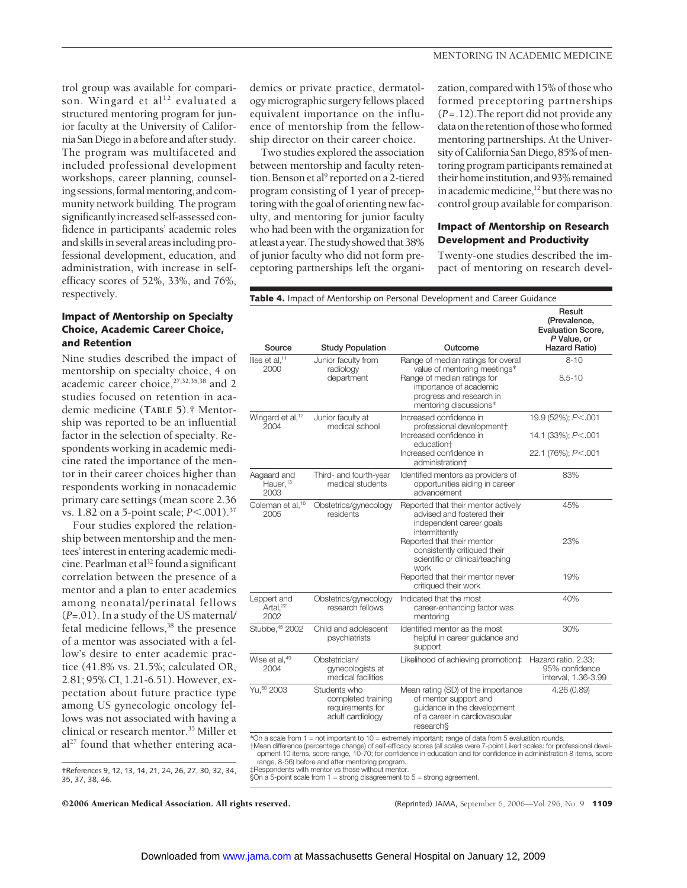trol group was available for comparison. Wingard et al<sup>12</sup> evaluated a structured mentoring program for junior faculty at the University of California San Diego in a before and after study. The program was multifaceted and included professional development workshops, career planning, counseling sessions, formal mentoring, and community network building. The program significantly increased self-assessed confidence in participants' academic roles and skills in several areas including professional development, education, and administration, with increase in selfefficacy scores of 52%, 33%, and 76%, respectively.

#### **Impact of Mentorship on Specialty Choice, Academic Career Choice, and Retention**

Nine studies described the impact of mentorship on specialty choice, 4 on academic career choice,  $27,32,35,38$  and 2 studies focused on retention in academic medicine (**TABLE 5**).† Mentorship was reported to be an influential factor in the selection of specialty. Respondents working in academic medicine rated the importance of the mentor in their career choices higher than respondents working in nonacademic primary care settings (mean score 2.36 vs. 1.82 on a 5-point scale; *P*<.001).<sup>37</sup>

Four studies explored the relationship between mentorship and the mentees' interest in entering academic medicine. Pearlman et al<sup>32</sup> found a significant correlation between the presence of a mentor and a plan to enter academics among neonatal/perinatal fellows (*P*=.01). In a study of the US maternal/ fetal medicine fellows,38 the presence of a mentor was associated with a fellow's desire to enter academic practice (41.8% vs. 21.5%; calculated OR, 2.81; 95% CI, 1.21-6.51). However, expectation about future practice type among US gynecologic oncology fellows was not associated with having a clinical or research mentor.35 Miller et  $al<sup>27</sup>$  found that whether entering aca-

†References 9, 12, 13, 14, 21, 24, 26, 27, 30, 32, 34, 35, 37, 38, 46.

demics or private practice, dermatology micrographic surgeryfellows placed equivalent importance on the influence of mentorship from the fellowship director on their career choice.

Two studies explored the association between mentorship and faculty retention. Benson et al<sup>9</sup> reported on a 2-tiered program consisting of 1 year of preceptoring with the goal of orienting newfaculty, and mentoring for junior faculty who had been with the organization for atleastayear.The study showed that 38% of junior faculty who did not form preceptoring partnerships left the organi-

zation, compared with 15% of those who formed preceptoring partnerships (*P*=.12).The report did not provide any data on the retention of those who formed mentoring partnerships. At the University of California San Diego, 85% of mentoring program participants remained at their home institution, and 93% remained in academic medicine, $12$  but there was no control group available for comparison.

# **Impact of Mentorship on Research Development and Productivity**

Twenty-one studies described the impact of mentoring on research devel-

**Result**

**Table 4.** Impact of Mentorship on Personal Development and Career Guidance

| Source                                      | <b>Study Population</b>                                                    | Outcome                                                                                                                                                                                                                  | (Prevalence,<br><b>Evaluation Score,</b><br>P Value, or<br><b>Hazard Ratio)</b> |
|---------------------------------------------|----------------------------------------------------------------------------|--------------------------------------------------------------------------------------------------------------------------------------------------------------------------------------------------------------------------|---------------------------------------------------------------------------------|
| Illes et al. $11$<br>2000                   | Junior faculty from<br>radiology<br>department                             | Range of median ratings for overall<br>value of mentoring meetings*<br>Range of median ratings for<br>importance of academic<br>progress and research in<br>mentoring discussions*                                       | $8 - 10$<br>$8.5 - 10$                                                          |
| Wingard et al, <sup>12</sup><br>2004        | Junior faculty at<br>medical school                                        | Increased confidence in<br>professional development+<br>Increased confidence in<br>education <sup>+</sup><br>Increased confidence in<br>administration+                                                                  | 19.9 (52%); P<.001<br>14.1 (33%); P<.001<br>22.1 (76%); P<.001                  |
| Aagaard and<br>Hauer, <sup>13</sup><br>2003 | Third- and fourth-year<br>medical students                                 | Identified mentors as providers of<br>opportunities aiding in career<br>advancement                                                                                                                                      | 83%                                                                             |
| Coleman et al, <sup>16</sup><br>2005        | Obstetrics/gynecology<br>residents                                         | Reported that their mentor actively<br>advised and fostered their<br>independent career goals<br>intermittently<br>Reported that their mentor<br>consistently critiqued their<br>scientific or clinical/teaching<br>work | 45%<br>23%                                                                      |
|                                             |                                                                            | Reported that their mentor never<br>critiqued their work                                                                                                                                                                 | 19%                                                                             |
| Leppert and<br>Artal, <sup>22</sup><br>2002 | Obstetrics/gynecology<br>research fellows                                  | Indicated that the most<br>career-enhancing factor was<br>mentoring                                                                                                                                                      | 40%                                                                             |
| Stubbe, 45 2002                             | Child and adolescent<br>psychiatrists                                      | Identified mentor as the most<br>helpful in career guidance and<br>support                                                                                                                                               | 30%                                                                             |
| Wise et al, <sup>49</sup><br>2004           | Obstetrician/<br>gynecologists at<br>medical facilities                    | Likelihood of achieving promotion‡                                                                                                                                                                                       | Hazard ratio, 2.33;<br>95% confidence<br>interval. 1.36-3.99                    |
| Yu, 50 2003                                 | Students who<br>completed training<br>requirements for<br>adult cardiology | Mean rating (SD) of the importance<br>of mentor support and<br>quidance in the development<br>of a career in cardiovascular<br>research                                                                                  | 4.26(0.89)                                                                      |
|                                             |                                                                            |                                                                                                                                                                                                                          |                                                                                 |

\*On a scale from 1 = not important to 10 = extremely important; range of data from 5 evaluation rounds.<br>†Mean difference (percentage change) of self-efficacy scores (all scales were 7-point Likert scales: for professional opment 10 items, score range, 10-70; for confidence in education and for confidence in administration 8 items, score

range, 8-56) before and after mentoring program.

‡Respondents with mentor vs those without mentor.

 $§$ On a 5-point scale from 1 = strong disagreement to 5 = strong agreement.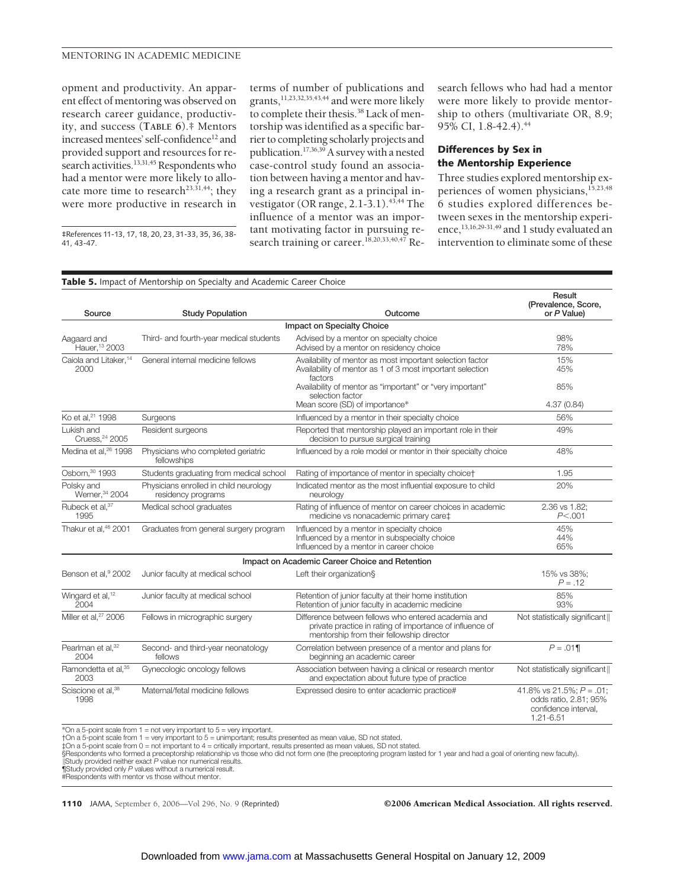opment and productivity. An apparent effect of mentoring was observed on research career guidance, productivity, and success (**TABLE 6**).‡ Mentors increased mentees' self-confidence<sup>12</sup> and provided support and resources for research activities.<sup>13,31,45</sup> Respondents who had a mentor were more likely to allocate more time to research<sup>23,31,44</sup>; they were more productive in research in

41, 43-47.

terms of number of publications and grants,11,23,32,35,43,44 and were more likely to complete their thesis.<sup>38</sup> Lack of mentorship was identified as a specific barrier to completing scholarly projects and publication.<sup>17,36,39</sup> A survey with a nested case-control study found an association between having a mentor and having a research grant as a principal investigator (OR range,  $2.1-3.1$ ).<sup>43,44</sup> The influence of a mentor was an important motivating factor in pursuing re-

search fellows who had had a mentor were more likely to provide mentorship to others (multivariate OR, 8.9; 95% CI, 1.8-42.4).<sup>44</sup>

#### **Differences by Sex in the Mentorship Experience**

#References 11-13, 17, 18, 20, 23, 31-33, 35, 36, 38-<br>
search training or career.<sup>18,20,33,40,47</sup> Re- intervention to eliminate some of these Three studies explored mentorship experiences of women physicians,<sup>15,23,48</sup> 6 studies explored differences between sexes in the mentorship experience,13,16,29-31,49 and 1 study evaluated an

#### **Table 5.** Impact of Mentorship on Specialty and Academic Career Choice

| Source                                    | <b>Study Population</b>                                      | Outcome                                                                                                                                                                                                            | Result<br>(Prevalence, Score,<br>or P Value)                                              |
|-------------------------------------------|--------------------------------------------------------------|--------------------------------------------------------------------------------------------------------------------------------------------------------------------------------------------------------------------|-------------------------------------------------------------------------------------------|
|                                           |                                                              | Impact on Specialty Choice                                                                                                                                                                                         |                                                                                           |
| Aagaard and<br>Hauer, <sup>13</sup> 2003  | Third- and fourth-year medical students                      | Advised by a mentor on specialty choice<br>Advised by a mentor on residency choice                                                                                                                                 | 98%<br>78%                                                                                |
| Caiola and Litaker, <sup>14</sup><br>2000 | General internal medicine fellows                            | Availability of mentor as most important selection factor<br>Availability of mentor as 1 of 3 most important selection<br>factors<br>Availability of mentor as "important" or "very important"<br>selection factor | 15%<br>45%<br>85%                                                                         |
|                                           |                                                              | Mean score (SD) of importance*                                                                                                                                                                                     | 4.37 (0.84)                                                                               |
| Ko et al, <sup>21</sup> 1998              | Surgeons                                                     | Influenced by a mentor in their specialty choice                                                                                                                                                                   | 56%                                                                                       |
| Lukish and<br>Cruess, <sup>24</sup> 2005  | Resident surgeons                                            | Reported that mentorship played an important role in their<br>decision to pursue surgical training                                                                                                                 | 49%                                                                                       |
| Medina et al, <sup>26</sup> 1998          | Physicians who completed geriatric<br>fellowships            | Influenced by a role model or mentor in their specialty choice                                                                                                                                                     | 48%                                                                                       |
| Osborn, 30 1993                           | Students graduating from medical school                      | Rating of importance of mentor in specialty choicet                                                                                                                                                                | 1.95                                                                                      |
| Polsky and<br>Werner, 34 2004             | Physicians enrolled in child neurology<br>residency programs | Indicated mentor as the most influential exposure to child<br>neurology                                                                                                                                            | 20%                                                                                       |
| Rubeck et al. <sup>37</sup><br>1995       | Medical school graduates                                     | Rating of influence of mentor on career choices in academic<br>medicine vs nonacademic primary care‡                                                                                                               | 2.36 vs 1.82;<br>P<.001                                                                   |
| Thakur et al, <sup>46</sup> 2001          | Graduates from general surgery program                       | Influenced by a mentor in specialty choice<br>Influenced by a mentor in subspecialty choice<br>Influenced by a mentor in career choice                                                                             | 45%<br>44%<br>65%                                                                         |
|                                           |                                                              | Impact on Academic Career Choice and Retention                                                                                                                                                                     |                                                                                           |
| Benson et al, <sup>9</sup> 2002           | Junior faculty at medical school                             | Left their organization§                                                                                                                                                                                           | 15% vs 38%;<br>$P = .12$                                                                  |
| Wingard et al, <sup>12</sup><br>2004      | Junior faculty at medical school                             | Retention of junior faculty at their home institution<br>Retention of junior faculty in academic medicine                                                                                                          | 85%<br>93%                                                                                |
| Miller et al, <sup>27</sup> 2006          | Fellows in micrographic surgery                              | Difference between fellows who entered academia and<br>private practice in rating of importance of influence of<br>mentorship from their fellowship director                                                       | Not statistically significant                                                             |
| Pearlman et al. <sup>32</sup><br>2004     | Second- and third-year neonatology<br>fellows                | Correlation between presence of a mentor and plans for<br>beginning an academic career                                                                                                                             | $P = .01$                                                                                 |
| Ramondetta et al, 35<br>2003              | Gynecologic oncology fellows                                 | Association between having a clinical or research mentor<br>and expectation about future type of practice                                                                                                          | Not statistically significant                                                             |
| Sciscione et al, <sup>38</sup><br>1998    | Maternal/fetal medicine fellows                              | Expressed desire to enter academic practice#                                                                                                                                                                       | 41.8% vs 21.5%; $P = .01$ ;<br>odds ratio, 2.81; 95%<br>confidence interval,<br>1.21-6.51 |

\*On a 5-point scale from  $1 = not$  very important to  $5 =$  very important.

†On a 5-point scale from 1 = very important to 5 = unimportant; results presented as mean value, SD not stated.

‡On a 5-point scale from 0 = not important to 4 = critically important, results presented as mean values, SD not stated.

§Respondents who formed a preceptorship relationship vs those who did not form one (the preceptoring program lasted for 1 year and had a goal of orienting new faculty).<br>∥Study provided neither exact P value nor numerical r

¶Study provided only *P* values without a numerical result.

#Respondents with mentor vs those without mentor.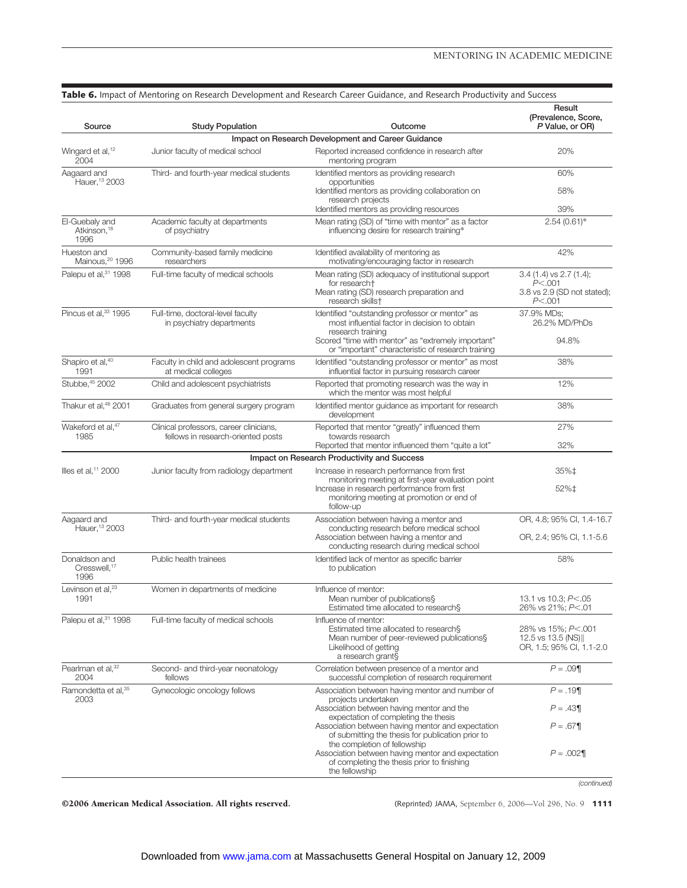|                                                   |                                                                               | Table 6. Impact of Mentoring on Research Development and Research Career Guidance, and Research Productivity and Success                                                                                  |                                                                                    |
|---------------------------------------------------|-------------------------------------------------------------------------------|-----------------------------------------------------------------------------------------------------------------------------------------------------------------------------------------------------------|------------------------------------------------------------------------------------|
| Source                                            | <b>Study Population</b>                                                       | Outcome                                                                                                                                                                                                   | Result<br>(Prevalence, Score,<br>P Value, or OR)                                   |
|                                                   |                                                                               | Impact on Research Development and Career Guidance                                                                                                                                                        |                                                                                    |
| Wingard et al, <sup>12</sup><br>2004              | Junior faculty of medical school                                              | Reported increased confidence in research after<br>mentoring program                                                                                                                                      | 20%                                                                                |
| Aagaard and<br>Hauer, <sup>13</sup> 2003          | Third- and fourth-year medical students                                       | Identified mentors as providing research<br>opportunities                                                                                                                                                 | 60%                                                                                |
|                                                   |                                                                               | Identified mentors as providing collaboration on<br>research projects                                                                                                                                     | 58%                                                                                |
|                                                   |                                                                               | Identified mentors as providing resources                                                                                                                                                                 | 39%                                                                                |
| El-Guebaly and<br>Atkinson, <sup>18</sup><br>1996 | Academic faculty at departments<br>of psychiatry                              | Mean rating (SD) of "time with mentor" as a factor<br>influencing desire for research training*                                                                                                           | $2.54(0.61)$ *                                                                     |
| Hueston and<br>Mainous, <sup>20</sup> 1996        | Community-based family medicine<br>researchers                                | Identified availability of mentoring as<br>motivating/encouraging factor in research                                                                                                                      | 42%                                                                                |
| Palepu et al, <sup>31</sup> 1998                  | Full-time faculty of medical schools                                          | Mean rating (SD) adequacy of institutional support<br>for researcht<br>Mean rating (SD) research preparation and<br>research skillst                                                                      | $3.4$ (1.4) vs $2.7$ (1.4);<br>P< 0.001<br>3.8 vs 2.9 (SD not stated);<br>P< 0.001 |
| Pincus et al, 33 1995                             | Full-time, doctoral-level faculty<br>in psychiatry departments                | Identified "outstanding professor or mentor" as<br>most influential factor in decision to obtain<br>research training                                                                                     | 37.9% MDs;<br>26.2% MD/PhDs                                                        |
|                                                   |                                                                               | Scored "time with mentor" as "extremely important"<br>or "important" characteristic of research training                                                                                                  | 94.8%                                                                              |
| Shapiro et al, <sup>40</sup><br>1991              | Faculty in child and adolescent programs<br>at medical colleges               | Identified "outstanding professor or mentor" as most<br>influential factor in pursuing research career                                                                                                    | 38%                                                                                |
| Stubbe, 45 2002                                   | Child and adolescent psychiatrists                                            | Reported that promoting research was the way in<br>which the mentor was most helpful                                                                                                                      | 12%                                                                                |
| Thakur et al, <sup>46</sup> 2001                  | Graduates from general surgery program                                        | Identified mentor guidance as important for research<br>development                                                                                                                                       | 38%                                                                                |
| Wakeford et al, <sup>47</sup><br>1985             | Clinical professors, career clinicians,<br>fellows in research-oriented posts | Reported that mentor "greatly" influenced them<br>towards research                                                                                                                                        | 27%                                                                                |
|                                                   |                                                                               | Reported that mentor influenced them "quite a lot"                                                                                                                                                        | 32%                                                                                |
|                                                   |                                                                               | Impact on Research Productivity and Success                                                                                                                                                               |                                                                                    |
| Illes et al, $11$ 2000                            | Junior faculty from radiology department                                      | Increase in research performance from first<br>monitoring meeting at first-year evaluation point<br>Increase in research performance from first<br>monitoring meeting at promotion or end of<br>follow-up | 35%‡<br>52%‡                                                                       |
| Aagaard and                                       | Third- and fourth-year medical students                                       | Association between having a mentor and                                                                                                                                                                   | OR, 4.8; 95% CI, 1.4-16.7                                                          |
| Hauer, <sup>13</sup> 2003                         |                                                                               | conducting research before medical school<br>Association between having a mentor and<br>conducting research during medical school                                                                         | OR, 2.4; 95% CI, 1.1-5.6                                                           |
| Donaldson and<br>Cresswell, <sup>17</sup><br>1996 | Public health trainees                                                        | Identified lack of mentor as specific barrier<br>to publication                                                                                                                                           | 58%                                                                                |
| Levinson et al, <sup>23</sup><br>1991             | Women in departments of medicine                                              | Influence of mentor:<br>Mean number of publications\$<br>Estimated time allocated to research§                                                                                                            | 13.1 vs 10.3; P<.05<br>26% vs 21%; P<.01                                           |
| Palepu et al, <sup>31</sup> 1998                  | Full-time faculty of medical schools                                          | Influence of mentor:<br>Estimated time allocated to research§<br>Mean number of peer-reviewed publications§<br>Likelihood of getting<br>a research grant§                                                 | 28% vs 15%; P<.001<br>12.5 vs 13.5 (NS)   <br>OR, 1.5; 95% CI, 1.1-2.0             |
| Pearlman et al, <sup>32</sup><br>2004             | Second- and third-year neonatology<br>fellows                                 | Correlation between presence of a mentor and<br>successful completion of research requirement                                                                                                             | $P = .09$                                                                          |
| Ramondetta et al, <sup>35</sup><br>2003           | Gynecologic oncology fellows                                                  | Association between having mentor and number of<br>projects undertaken                                                                                                                                    | $P = .19$                                                                          |
|                                                   |                                                                               | Association between having mentor and the<br>expectation of completing the thesis                                                                                                                         | $P = .43$                                                                          |
|                                                   |                                                                               | Association between having mentor and expectation<br>of submitting the thesis for publication prior to<br>the completion of fellowship<br>Association between having mentor and expectation               | $P = .67$<br>$P = .002$                                                            |
|                                                   |                                                                               | of completing the thesis prior to finishing<br>the fellowship                                                                                                                                             |                                                                                    |

*(continued)*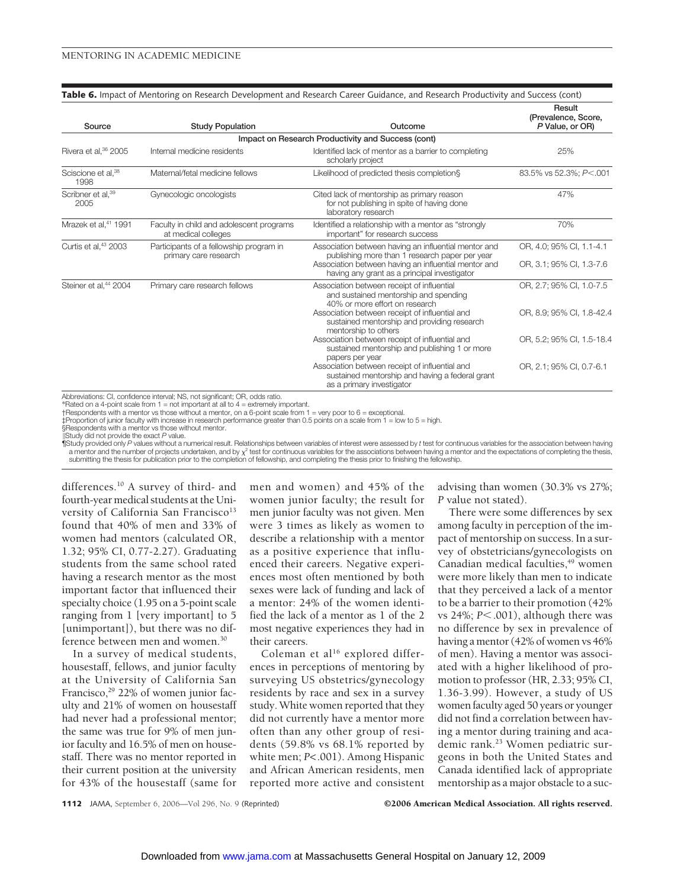| Source                                 | <b>Study Population</b>                                          | Outcome                                                                                                                                                                                                        | Result<br>(Prevalence, Score,<br>P Value, or OR)      |
|----------------------------------------|------------------------------------------------------------------|----------------------------------------------------------------------------------------------------------------------------------------------------------------------------------------------------------------|-------------------------------------------------------|
|                                        |                                                                  | Impact on Research Productivity and Success (cont)                                                                                                                                                             |                                                       |
| Rivera et al, <sup>36</sup> 2005       | Internal medicine residents                                      | Identified lack of mentor as a barrier to completing<br>scholarly project                                                                                                                                      | 25%                                                   |
| Sciscione et al, <sup>38</sup><br>1998 | Maternal/fetal medicine fellows                                  | Likelihood of predicted thesis completion§                                                                                                                                                                     | 83.5% vs 52.3%; P<.001                                |
| Scribner et al, <sup>39</sup><br>2005  | Gynecologic oncologists                                          | Cited lack of mentorship as primary reason<br>for not publishing in spite of having done<br>laboratory research                                                                                                | 47%                                                   |
| Mrazek et al, <sup>41</sup> 1991       | Faculty in child and adolescent programs<br>at medical colleges  | Identified a relationship with a mentor as "strongly<br>important" for research success                                                                                                                        | 70%                                                   |
| Curtis et al, <sup>43</sup> 2003       | Participants of a fellowship program in<br>primary care research | Association between having an influential mentor and<br>publishing more than 1 research paper per year<br>Association between having an influential mentor and<br>having any grant as a principal investigator | OR, 4.0; 95% CI, 1.1-4.1<br>OR, 3.1; 95% CI, 1.3-7.6  |
| Steiner et al, <sup>44</sup> 2004      | Primary care research fellows                                    | Association between receipt of influential<br>and sustained mentorship and spending<br>40% or more effort on research<br>Association between receipt of influential and                                        | OR, 2.7; 95% Cl, 1.0-7.5<br>OR, 8.9; 95% CI, 1.8-42.4 |
|                                        |                                                                  | sustained mentorship and providing research<br>mentorship to others<br>Association between receipt of influential and<br>sustained mentorship and publishing 1 or more<br>papers per year                      | OR, 5.2; 95% CI, 1.5-18.4                             |
|                                        | ALL CHARGE OF CONSTRUCTION OF MOTOR CHARGES IN ORDER THE CHA     | Association between receipt of influential and<br>sustained mentorship and having a federal grant<br>as a primary investigator                                                                                 | OR, 2.1; 95% CI, 0.7-6.1                              |

Abbreviations: CI, confidence interval; NS, not significant; OR, odds ratio. \*Rated on a 4-point scale from 1 = not important at all to 4 = extremely important.

†Respondents with a mentor vs those without a mentor, on a 6-point scale from 1 = very poor to 6 = exceptional.

‡Proportion of junior faculty with increase in research performance greater than 0.5 points on a scale from 1 = low to 5 = high.

§Respondents with a mentor vs those without mentor.

Study did not provide the exact *P* value.

¶Study provided only *P* values without a numerical result. Relationships between variables of interest were assessed by *t* test for continuous variables for the association between having a mentor and the number of projects undertaken, and by  $\chi^2$  test for continuous variables for the associations between having a mentor and the expectations of completing the thesis,<br>submitting the thesis for publication

differences.10 A survey of third- and fourth-year medical students at the University of California San Francisco<sup>13</sup> found that 40% of men and 33% of women had mentors (calculated OR, 1.32; 95% CI, 0.77-2.27). Graduating students from the same school rated having a research mentor as the most important factor that influenced their specialty choice (1.95 on a 5-point scale ranging from 1 [very important] to 5 [unimportant]), but there was no difference between men and women.30

In a survey of medical students, housestaff, fellows, and junior faculty at the University of California San Francisco,<sup>29</sup> 22% of women junior faculty and 21% of women on housestaff had never had a professional mentor; the same was true for 9% of men junior faculty and 16.5% of men on housestaff. There was no mentor reported in their current position at the university for 43% of the housestaff (same for

men and women) and 45% of the women junior faculty; the result for men junior faculty was not given. Men were 3 times as likely as women to describe a relationship with a mentor as a positive experience that influenced their careers. Negative experiences most often mentioned by both sexes were lack of funding and lack of a mentor: 24% of the women identified the lack of a mentor as 1 of the 2 most negative experiences they had in their careers.

Coleman et al<sup>16</sup> explored differences in perceptions of mentoring by surveying US obstetrics/gynecology residents by race and sex in a survey study. White women reported that they did not currently have a mentor more often than any other group of residents (59.8% vs 68.1% reported by white men; *P*<.001). Among Hispanic and African American residents, men reported more active and consistent advising than women (30.3% vs 27%; *P* value not stated).

There were some differences by sex among faculty in perception of the impact of mentorship on success. In a survey of obstetricians/gynecologists on Canadian medical faculties,<sup>49</sup> women were more likely than men to indicate that they perceived a lack of a mentor to be a barrier to their promotion (42% vs  $24\%; P < .001$ ), although there was no difference by sex in prevalence of having a mentor (42% of women vs 46% of men). Having a mentor was associated with a higher likelihood of promotion to professor (HR, 2.33; 95% CI, 1.36-3.99). However, a study of US women faculty aged 50 years or younger did not find a correlation between having a mentor during training and academic rank.23 Women pediatric surgeons in both the United States and Canada identified lack of appropriate mentorship as a major obstacle to a suc-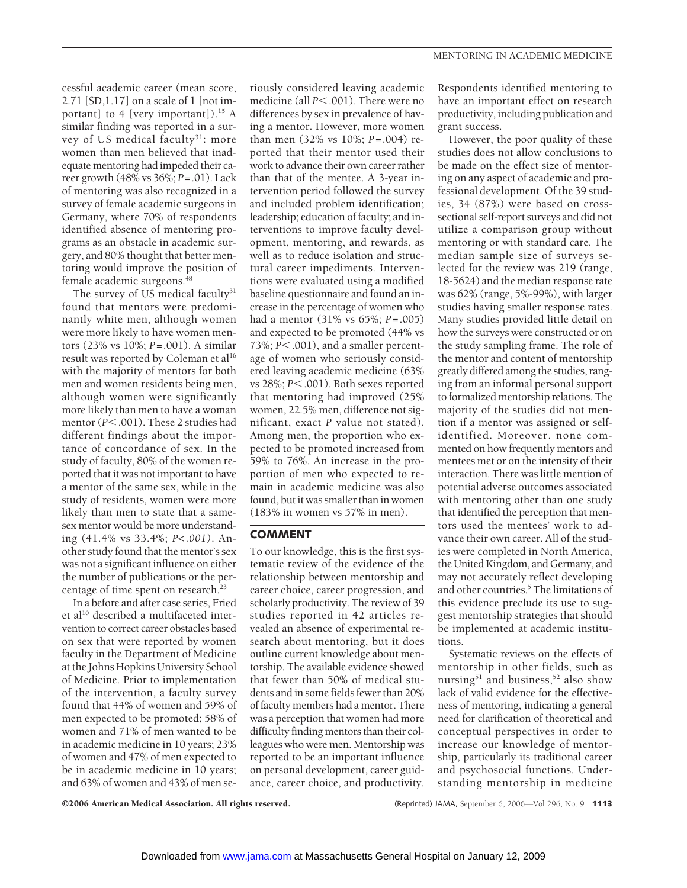cessful academic career (mean score, 2.71 [SD,1.17] on a scale of 1 [not important] to 4 [very important]).<sup>15</sup> A similar finding was reported in a survey of US medical faculty<sup>31</sup>: more women than men believed that inadequate mentoring had impeded their career growth (48% vs 36%; *P*=.01). Lack of mentoring was also recognized in a survey of female academic surgeons in Germany, where 70% of respondents identified absence of mentoring programs as an obstacle in academic surgery, and 80% thought that better mentoring would improve the position of female academic surgeons.<sup>48</sup>

The survey of US medical faculty<sup>31</sup> found that mentors were predominantly white men, although women were more likely to have women mentors (23% vs 10%; *P*=.001). A similar result was reported by Coleman et al<sup>16</sup> with the majority of mentors for both men and women residents being men, although women were significantly more likely than men to have a woman mentor (*P*<.001). These 2 studies had different findings about the importance of concordance of sex. In the study of faculty, 80% of the women reported that it was not important to have a mentor of the same sex, while in the study of residents, women were more likely than men to state that a samesex mentor would be more understanding (41.4% vs 33.4%; *P*<*.001)*. Another study found that the mentor's sex was not a significant influence on either the number of publications or the percentage of time spent on research.<sup>23</sup>

In a before and after case series, Fried et al<sup>10</sup> described a multifaceted intervention to correct career obstacles based on sex that were reported by women faculty in the Department of Medicine at the Johns Hopkins University School of Medicine. Prior to implementation of the intervention, a faculty survey found that 44% of women and 59% of men expected to be promoted; 58% of women and 71% of men wanted to be in academic medicine in 10 years; 23% of women and 47% of men expected to be in academic medicine in 10 years; and 63% of women and 43% of men seriously considered leaving academic medicine (all  $P<.001$ ). There were no differences by sex in prevalence of having a mentor. However, more women than men (32% vs 10%; *P*=.004) reported that their mentor used their work to advance their own career rather than that of the mentee. A 3-year intervention period followed the survey and included problem identification; leadership; education of faculty; and interventions to improve faculty development, mentoring, and rewards, as well as to reduce isolation and structural career impediments. Interventions were evaluated using a modified baseline questionnaire and found an increase in the percentage of women who had a mentor (31% vs 65%; *P*=.005) and expected to be promoted (44% vs 73%;  $P$ <.001), and a smaller percentage of women who seriously considered leaving academic medicine (63% vs 28%;  $P$ <.001). Both sexes reported that mentoring had improved (25% women, 22.5% men, difference not significant, exact *P* value not stated). Among men, the proportion who expected to be promoted increased from 59% to 76%. An increase in the proportion of men who expected to remain in academic medicine was also found, but it was smaller than in women (183% in women vs 57% in men).

# **COMMENT**

To our knowledge, this is the first systematic review of the evidence of the relationship between mentorship and career choice, career progression, and scholarly productivity. The review of 39 studies reported in 42 articles revealed an absence of experimental research about mentoring, but it does outline current knowledge about mentorship. The available evidence showed that fewer than 50% of medical students and in some fields fewer than 20% of faculty members had a mentor. There was a perception that women had more difficulty finding mentors than their colleagues who were men. Mentorship was reported to be an important influence on personal development, career guidance, career choice, and productivity.

Respondents identified mentoring to have an important effect on research productivity, including publication and grant success.

However, the poor quality of these studies does not allow conclusions to be made on the effect size of mentoring on any aspect of academic and professional development. Of the 39 studies, 34 (87%) were based on crosssectional self-report surveys and did not utilize a comparison group without mentoring or with standard care. The median sample size of surveys selected for the review was 219 (range, 18-5624) and the median response rate was 62% (range, 5%-99%), with larger studies having smaller response rates. Many studies provided little detail on how the surveys were constructed or on the study sampling frame. The role of the mentor and content of mentorship greatly differed among the studies, ranging from an informal personal support to formalized mentorship relations. The majority of the studies did not mention if a mentor was assigned or selfidentified. Moreover, none commented on how frequently mentors and mentees met or on the intensity of their interaction. There was little mention of potential adverse outcomes associated with mentoring other than one study that identified the perception that mentors used the mentees' work to advance their own career. All of the studies were completed in North America, the United Kingdom, and Germany, and may not accurately reflect developing and other countries.<sup>5</sup> The limitations of this evidence preclude its use to suggest mentorship strategies that should be implemented at academic institutions.

Systematic reviews on the effects of mentorship in other fields, such as nursing $51$  and business,  $52$  also show lack of valid evidence for the effectiveness of mentoring, indicating a general need for clarification of theoretical and conceptual perspectives in order to increase our knowledge of mentorship, particularly its traditional career and psychosocial functions. Understanding mentorship in medicine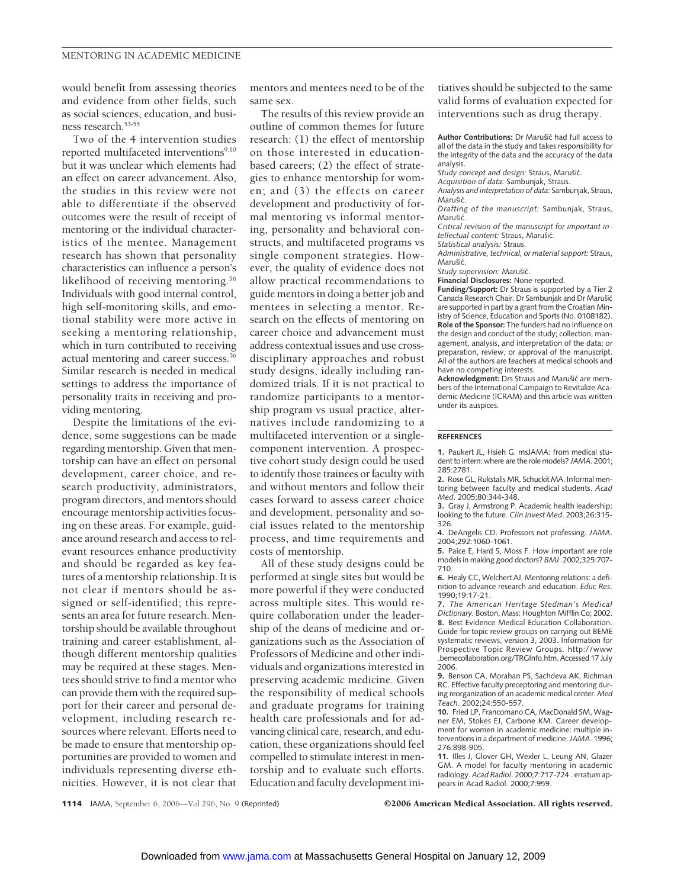would benefit from assessing theories and evidence from other fields, such as social sciences, education, and business research.<sup>53-55</sup>

Two of the 4 intervention studies reported multifaceted interventions<sup>9,10</sup> but it was unclear which elements had an effect on career advancement. Also, the studies in this review were not able to differentiate if the observed outcomes were the result of receipt of mentoring or the individual characteristics of the mentee. Management research has shown that personality characteristics can influence a person's likelihood of receiving mentoring.<sup>56</sup> Individuals with good internal control, high self-monitoring skills, and emotional stability were more active in seeking a mentoring relationship, which in turn contributed to receiving actual mentoring and career success.56 Similar research is needed in medical settings to address the importance of personality traits in receiving and providing mentoring.

Despite the limitations of the evidence, some suggestions can be made regarding mentorship. Given that mentorship can have an effect on personal development, career choice, and research productivity, administrators, program directors, and mentors should encourage mentorship activities focusing on these areas. For example, guidance around research and access to relevant resources enhance productivity and should be regarded as key features of a mentorship relationship. It is not clear if mentors should be assigned or self-identified; this represents an area for future research. Mentorship should be available throughout training and career establishment, although different mentorship qualities may be required at these stages. Mentees should strive to find a mentor who can provide them with the required support for their career and personal development, including research resources where relevant. Efforts need to be made to ensure that mentorship opportunities are provided to women and individuals representing diverse ethnicities. However, it is not clear that

mentors and mentees need to be of the same sex.

The results of this review provide an outline of common themes for future research: (1) the effect of mentorship on those interested in educationbased careers; (2) the effect of strategies to enhance mentorship for women; and (3) the effects on career development and productivity of formal mentoring vs informal mentoring, personality and behavioral constructs, and multifaceted programs vs single component strategies. However, the quality of evidence does not allow practical recommendations to guide mentors in doing a better job and mentees in selecting a mentor. Research on the effects of mentoring on career choice and advancement must address contextual issues and use crossdisciplinary approaches and robust study designs, ideally including randomized trials. If it is not practical to randomize participants to a mentorship program vs usual practice, alternatives include randomizing to a multifaceted intervention or a singlecomponent intervention. A prospective cohort study design could be used to identify those trainees or faculty with and without mentors and follow their cases forward to assess career choice and development, personality and social issues related to the mentorship process, and time requirements and costs of mentorship.

All of these study designs could be performed at single sites but would be more powerful if they were conducted across multiple sites. This would require collaboration under the leadership of the deans of medicine and organizations such as the Association of Professors of Medicine and other individuals and organizations interested in preserving academic medicine. Given the responsibility of medical schools and graduate programs for training health care professionals and for advancing clinical care, research, and education, these organizations should feel compelled to stimulate interest in mentorship and to evaluate such efforts. Education and faculty development initiatives should be subjected to the same valid forms of evaluation expected for interventions such as drug therapy.

**Author Contributions:** Dr Marušic´ had full access to all of the data in the study and takes responsibility for the integrity of the data and the accuracy of the data analysis.

*Study concept and design:* Straus, Marušic´.

*Acquisition of data:* Sambunjak, Straus. *Analysis and interpretation of data:* Sambunjak, Straus, **Marušić** 

*Drafting of the manuscript:* Sambunjak, Straus, **Marušić** 

*Critical revision of the manuscript for important intellectual content:* Straus, Marušic´.

*Statistical analysis:* Straus.

*Administrative, technical, or material support:* Straus, Marušic´.

*Study supervision:* Marušic´.

**Financial Disclosures:** None reported.

**Funding/Support:** Dr Straus is supported by a Tier 2 Canada Research Chair. Dr Sambunjak and Dr Marušic´ are supported in part by a grant from the Croatian Ministry of Science, Education and Sports (No. 0108182). **Role of the Sponsor:** The funders had no influence on the design and conduct of the study; collection, management, analysis, and interpretation of the data; or preparation, review, or approval of the manuscript. All of the authors are teachers at medical schools and have no competing interests.

Acknowledgment: Drs Straus and Marušić are members of the International Campaign to Revitalize Academic Medicine (ICRAM) and this article was written under its auspices.

#### **REFERENCES**

**1.** Paukert JL, Hsieh G. msJAMA: from medical student to intern: where are the role models? *JAMA*. 2001; 285:2781.

**2.** Rose GL, Rukstalis MR, Schuckit MA. Informal mentoring between faculty and medical students. *Acad Med*. 2005;80:344-348.

**3.** Gray J, Armstrong P. Academic health leadership: looking to the future. *Clin Invest Med*. 2003;26:315- 326.

**4.** DeAngelis CD. Professors not professing. *JAMA*. 2004;292:1060-1061.

**5.** Paice E, Hard S, Moss F. How important are role models in making good doctors? *BMJ*. 2002;325:707- 710.

**6.** Healy CC, Welchert AJ. Mentoring relations: a definition to advance research and education. *Educ Res*. 1990;19:17-21.

**7.** *The American Heritage Stedman's Medical Dictionary.* Boston, Mass: Houghton Mifflin Co; 2002. **8.** Best Evidence Medical Education Collaboration. Guide for topic review groups on carrying out BEME systematic reviews, version 3, 2003. Information for Prospective Topic Review Groups. http://www .bemecollaboration.org/TRGInfo.htm. Accessed 17 July 2006.

**9.** Benson CA, Morahan PS, Sachdeva AK, Richman RC. Effective faculty preceptoring and mentoring during reorganization of an academic medical center. *Med Teach*. 2002;24:550-557.

**10.** Fried LP, Francomano CA, MacDonald SM, Wagner EM, Stokes EJ, Carbone KM. Career development for women in academic medicine: multiple interventions in a department of medicine.*JAMA*. 1996; 276:898-905.

**11.** Illes J, Glover GH, Wexler L, Leung AN, Glazer GM. A model for faculty mentoring in academic radiology. *Acad Radiol*. 2000;7:717-724 . erratum appears in Acad Radiol. 2000;7:959.